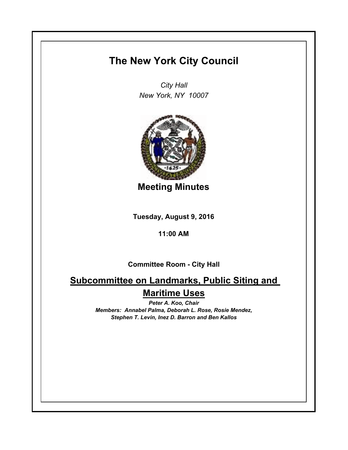## **The New York City Council**

*City Hall New York, NY 10007*



**Meeting Minutes**

**Tuesday, August 9, 2016**

### **11:00 AM**

**Committee Room - City Hall**

# **Subcommittee on Landmarks, Public Siting and Maritime Uses**

*Peter A. Koo, Chair Members: Annabel Palma, Deborah L. Rose, Rosie Mendez, Stephen T. Levin, Inez D. Barron and Ben Kallos*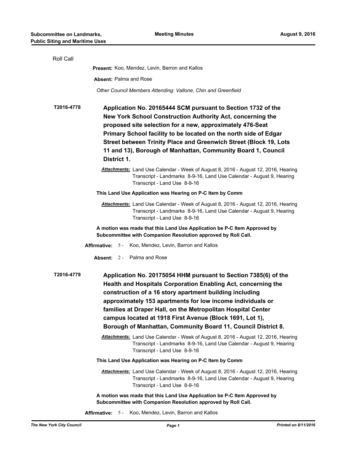| Roll Call  |                                                                                                                                                                                                                                                                                                                                                                                                                                                        |
|------------|--------------------------------------------------------------------------------------------------------------------------------------------------------------------------------------------------------------------------------------------------------------------------------------------------------------------------------------------------------------------------------------------------------------------------------------------------------|
|            | Present: Koo, Mendez, Levin, Barron and Kallos                                                                                                                                                                                                                                                                                                                                                                                                         |
|            | <b>Absent: Palma and Rose</b>                                                                                                                                                                                                                                                                                                                                                                                                                          |
|            | Other Council Members Attending: Vallone, Chin and Greenfield                                                                                                                                                                                                                                                                                                                                                                                          |
| T2016-4778 | Application No. 20165444 SCM pursuant to Section 1732 of the<br>New York School Construction Authority Act, concerning the<br>proposed site selection for a new, approximately 476-Seat<br>Primary School facility to be located on the north side of Edgar<br>Street between Trinity Place and Greenwich Street (Block 19, Lots<br>11 and 13), Borough of Manhattan, Community Board 1, Council<br>District 1.                                        |
|            | Attachments: Land Use Calendar - Week of August 8, 2016 - August 12, 2016, Hearing<br>Transcript - Landmarks 8-9-16, Land Use Calendar - August 9, Hearing<br>Transcript - Land Use 8-9-16                                                                                                                                                                                                                                                             |
|            | This Land Use Application was Hearing on P-C Item by Comm                                                                                                                                                                                                                                                                                                                                                                                              |
|            | <b>Attachments:</b> Land Use Calendar - Week of August 8, 2016 - August 12, 2016, Hearing<br>Transcript - Landmarks 8-9-16, Land Use Calendar - August 9, Hearing<br>Transcript - Land Use 8-9-16                                                                                                                                                                                                                                                      |
|            | A motion was made that this Land Use Application be P-C Item Approved by<br>Subcommittee with Companion Resolution approved by Roll Call.                                                                                                                                                                                                                                                                                                              |
|            | <b>Affirmative:</b> 5 - Koo, Mendez, Levin, Barron and Kallos                                                                                                                                                                                                                                                                                                                                                                                          |
|            | <b>Absent:</b> 2 - Palma and Rose                                                                                                                                                                                                                                                                                                                                                                                                                      |
| T2016-4779 | Application No. 20175054 HHM pursuant to Section 7385(6) of the<br>Health and Hospitals Corporation Enabling Act, concerning the<br>construction of a 16 story apartment building including<br>approximately 153 apartments for low income individuals or<br>families at Draper Hall, on the Metropolitan Hospital Center<br>campus located at 1918 First Avenue (Block 1691, Lot 1),<br>Borough of Manhattan, Community Board 11, Council District 8. |
|            | <b>Attachments:</b> Land Use Calendar - Week of August 8, 2016 - August 12, 2016, Hearing                                                                                                                                                                                                                                                                                                                                                              |
|            | Transcript - Landmarks 8-9-16, Land Use Calendar - August 9, Hearing<br>Transcript - Land Use 8-9-16                                                                                                                                                                                                                                                                                                                                                   |
|            | This Land Use Application was Hearing on P-C Item by Comm                                                                                                                                                                                                                                                                                                                                                                                              |
|            | Attachments: Land Use Calendar - Week of August 8, 2016 - August 12, 2016, Hearing<br>Transcript - Landmarks 8-9-16, Land Use Calendar - August 9, Hearing<br>Transcript - Land Use 8-9-16                                                                                                                                                                                                                                                             |
|            | A motion was made that this Land Use Application be P-C Item Approved by<br>Subcommittee with Companion Resolution approved by Roll Call.                                                                                                                                                                                                                                                                                                              |

**Affirmative:** 5 - Koo, Mendez, Levin, Barron and Kallos